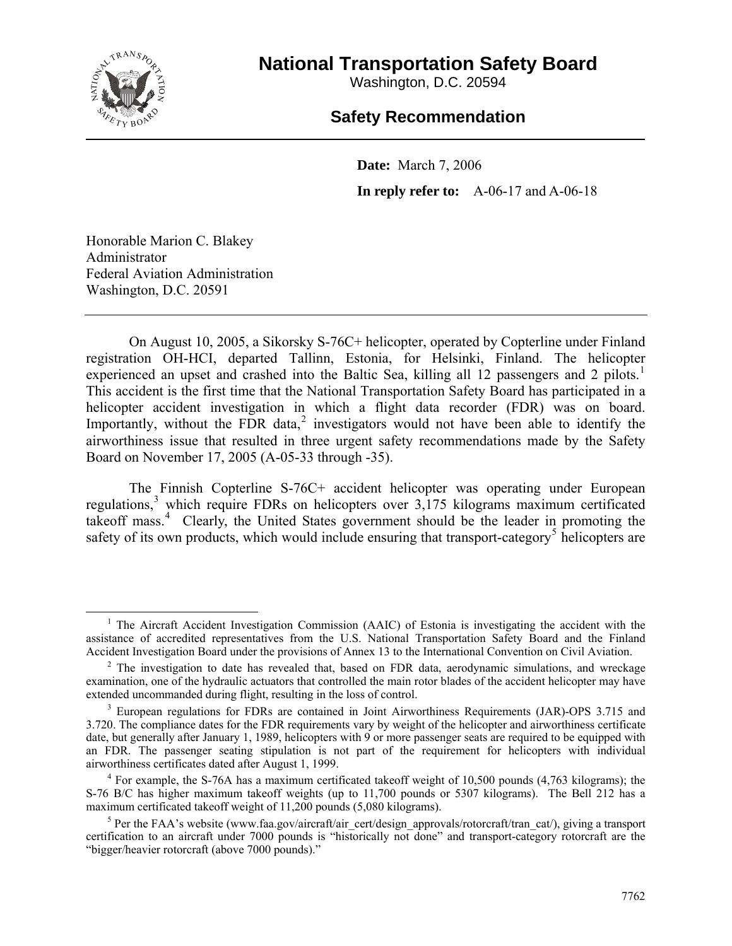

# **National Transportation Safety Board**

Washington, D.C. 20594

## **Safety Recommendation**

**Date:** March 7, 2006 **In reply refer to:** A-06-17 and A-06-18

Honorable Marion C. Blakey Administrator Federal Aviation Administration Washington, D.C. 20591

On August 10, 2005, a Sikorsky S-76C+ helicopter, operated by Copterline under Finland registration OH-HCI, departed Tallinn, Estonia, for Helsinki, Finland. The helicopter experienced an upset and crashed into the Baltic Sea, killing all [1](#page-0-0)2 passengers and 2 pilots.<sup>1</sup> This accident is the first time that the National Transportation Safety Board has participated in a helicopter accident investigation in which a flight data recorder (FDR) was on board. Importantly, without the FDR data,<sup>[2](#page-0-1)</sup> investigators would not have been able to identify the airworthiness issue that resulted in three urgent safety recommendations made by the Safety Board on November 17, 2005 (A-05-33 through -35).

The Finnish Copterline S-76C+ accident helicopter was operating under European regulations,<sup>[3](#page-0-2)</sup> which require FDRs on helicopters over 3,175 kilograms maximum certificated takeoff mass.<sup>[4](#page-0-3)</sup> Clearly, the United States government should be the leader in promoting the safety of its own products, which would include ensuring that transport-category<sup>[5](#page-0-4)</sup> helicopters are

<span id="page-0-0"></span> $\frac{1}{1}$  $1$  The Aircraft Accident Investigation Commission (AAIC) of Estonia is investigating the accident with the assistance of accredited representatives from the U.S. National Transportation Safety Board and the Finland Accident Investigation Board under the provisions of Annex 13 to the International Convention on Civil Aviation. 2

<span id="page-0-1"></span> $2$  The investigation to date has revealed that, based on FDR data, aerodynamic simulations, and wreckage examination, one of the hydraulic actuators that controlled the main rotor blades of the accident helicopter may have extended uncommanded during flight, resulting in the loss of control.

<span id="page-0-2"></span><sup>&</sup>lt;sup>3</sup> European regulations for FDRs are contained in Joint Airworthiness Requirements (JAR)-OPS 3.715 and 3.720. The compliance dates for the FDR requirements vary by weight of the helicopter and airworthiness certificate date, but generally after January 1, 1989, helicopters with 9 or more passenger seats are required to be equipped with an FDR. The passenger seating stipulation is not part of the requirement for helicopters with individual airworthiness certificates dated after August 1, 1999. 4

<span id="page-0-3"></span><sup>&</sup>lt;sup>4</sup> For example, the S-76A has a maximum certificated takeoff weight of 10,500 pounds (4,763 kilograms); the S-76 B/C has higher maximum takeoff weights (up to 11,700 pounds or 5307 kilograms). The Bell 212 has a maximum certificated takeoff weight of 11,200 pounds (5,080 kilograms).

<span id="page-0-4"></span><sup>&</sup>lt;sup>5</sup> Per the FAA's website (www.faa.gov/aircraft/air\_cert/design\_approvals/rotorcraft/tran\_cat/), giving a transport certification to an aircraft under 7000 pounds is "historically not done" and transport-category rotorcraft are the "bigger/heavier rotorcraft (above 7000 pounds)."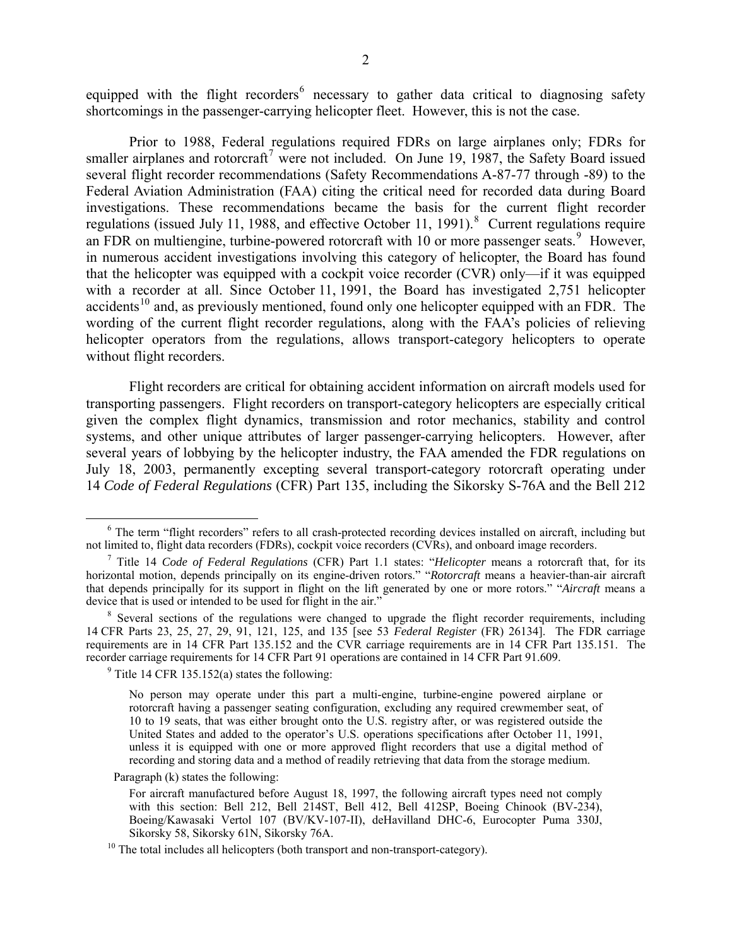equipped with the flight recorders<sup>[6](#page-1-0)</sup> necessary to gather data critical to diagnosing safety shortcomings in the passenger-carrying helicopter fleet. However, this is not the case.

Prior to 1988, Federal regulations required FDRs on large airplanes only; FDRs for smaller airplanes and rotorcraft<sup>[7](#page-1-1)</sup> were not included. On June 19, 1987, the Safety Board issued several flight recorder recommendations (Safety Recommendations A-87-77 through -89) to the Federal Aviation Administration (FAA) citing the critical need for recorded data during Board investigations. These recommendations became the basis for the current flight recorder regulations (issued July 11, 19[8](#page-1-2)8, and effective October 11, 1991). <sup>8</sup> Current regulations require an FDR on multiengine, turbine-powered rotorcraft with 10 or more passenger seats. $9$  However, in numerous accident investigations involving this category of helicopter, the Board has found that the helicopter was equipped with a cockpit voice recorder (CVR) only—if it was equipped with a recorder at all. Since October 11, 1991, the Board has investigated 2,751 helicopter accidents<sup>[10](#page-1-4)</sup> and, as previously mentioned, found only one helicopter equipped with an FDR. The wording of the current flight recorder regulations, along with the FAA's policies of relieving helicopter operators from the regulations, allows transport-category helicopters to operate without flight recorders.

Flight recorders are critical for obtaining accident information on aircraft models used for transporting passengers. Flight recorders on transport-category helicopters are especially critical given the complex flight dynamics, transmission and rotor mechanics, stability and control systems, and other unique attributes of larger passenger-carrying helicopters. However, after several years of lobbying by the helicopter industry, the FAA amended the FDR regulations on July 18, 2003, permanently excepting several transport-category rotorcraft operating under 14 *Code of Federal Regulations* (CFR) Part 135, including the Sikorsky S-76A and the Bell 212

 $9$  Title 14 CFR 135.152(a) states the following:

Paragraph (k) states the following:

<span id="page-1-0"></span> <sup>6</sup>  $<sup>6</sup>$  The term "flight recorders" refers to all crash-protected recording devices installed on aircraft, including but not limited to, flight data recorders (FDRs), cockpit voice recorders (CVRs), and onboard image re</sup> not limited to, flight data recorders (FDRs), cockpit voice recorders (CVRs), and onboard image recorders.<br><sup>7</sup> Title 14 *Code of Federal Regulations* (CFR) Part 1.1 states: "*Helicopter* means a rotorcraft that, for its

<span id="page-1-1"></span>horizontal motion, depends principally on its engine-driven rotors." "*Rotorcraft* means a heavier-than-air aircraft that depends principally for its support in flight on the lift generated by one or more rotors." "*Aircraft* means a device that is used or intended to be used for flight in the air."

<span id="page-1-3"></span><span id="page-1-2"></span> $8$  Several sections of the regulations were changed to upgrade the flight recorder requirements, including 14 CFR Parts 23, 25, 27, 29, 91, 121, 125, and 135 [see 53 *Federal Register* (FR) 26134]. The FDR carriage requirements are in 14 CFR Part 135.152 and the CVR carriage requirements are in 14 CFR Part 135.151. The recorder carriage requirements for 14 CFR Part 91 operations are contained in 14 CFR Part 91.609.

No person may operate under this part a multi-engine, turbine-engine powered airplane or rotorcraft having a passenger seating configuration, excluding any required crewmember seat, of 10 to 19 seats, that was either brought onto the U.S. registry after, or was registered outside the United States and added to the operator's U.S. operations specifications after October 11, 1991, unless it is equipped with one or more approved flight recorders that use a digital method of recording and storing data and a method of readily retrieving that data from the storage medium.

For aircraft manufactured before August 18, 1997, the following aircraft types need not comply with this section: Bell 212, Bell 214ST, Bell 412, Bell 412SP, Boeing Chinook  $(BV-234)$ , Boeing/Kawasaki Vertol 107 (BV/KV-107-II), deHavilland DHC-6, Eurocopter Puma 330J, Sikorsky 58, Sikorsky 61N, Sikorsky 76A.

<span id="page-1-4"></span> $10$  The total includes all helicopters (both transport and non-transport-category).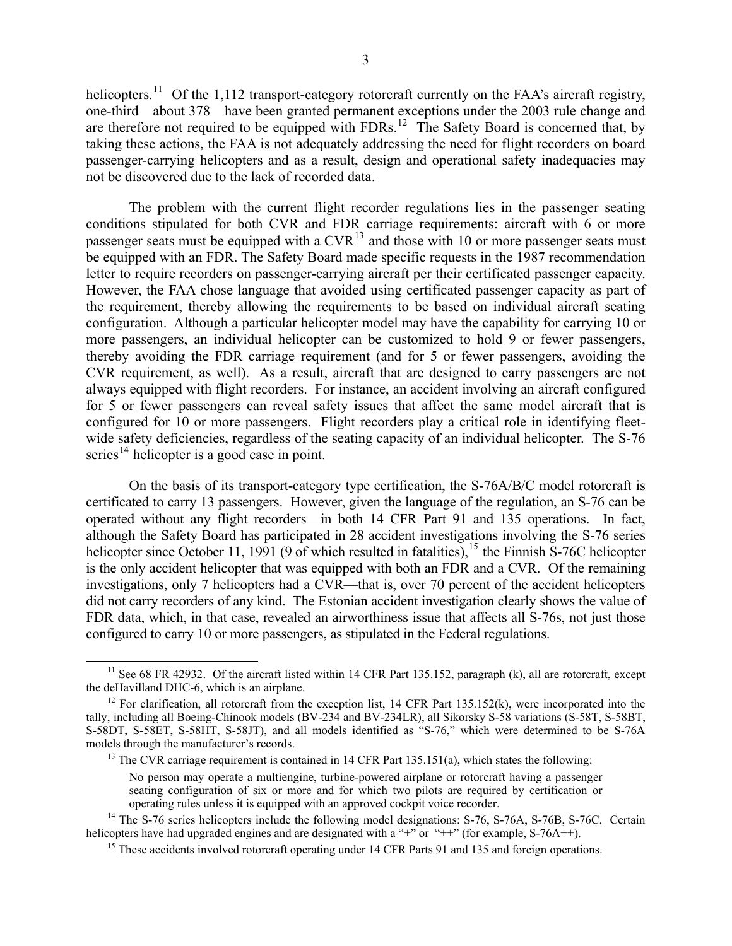helicopters.<sup>[11](#page-2-0)</sup> Of the 1,112 transport-category rotorcraft currently on the FAA's aircraft registry, one-third—about 378—have been granted permanent exceptions under the 2003 rule change and are therefore not required to be equipped with  $FDRs$ <sup>[12](#page-2-1)</sup>. The Safety Board is concerned that, by taking these actions, the FAA is not adequately addressing the need for flight recorders on board passenger-carrying helicopters and as a result, design and operational safety inadequacies may not be discovered due to the lack of recorded data.

The problem with the current flight recorder regulations lies in the passenger seating conditions stipulated for both CVR and FDR carriage requirements: aircraft with 6 or more passenger seats must be equipped with a  $CVR<sup>13</sup>$  $CVR<sup>13</sup>$  $CVR<sup>13</sup>$  and those with 10 or more passenger seats must be equipped with an FDR. The Safety Board made specific requests in the 1987 recommendation letter to require recorders on passenger-carrying aircraft per their certificated passenger capacity. However, the FAA chose language that avoided using certificated passenger capacity as part of the requirement, thereby allowing the requirements to be based on individual aircraft seating configuration. Although a particular helicopter model may have the capability for carrying 10 or more passengers, an individual helicopter can be customized to hold 9 or fewer passengers, thereby avoiding the FDR carriage requirement (and for 5 or fewer passengers, avoiding the CVR requirement, as well). As a result, aircraft that are designed to carry passengers are not always equipped with flight recorders. For instance, an accident involving an aircraft configured for 5 or fewer passengers can reveal safety issues that affect the same model aircraft that is configured for 10 or more passengers. Flight recorders play a critical role in identifying fleetwide safety deficiencies, regardless of the seating capacity of an individual helicopter. The S-76 series<sup>[14](#page-2-3)</sup> helicopter is a good case in point.

On the basis of its transport-category type certification, the S-76A/B/C model rotorcraft is certificated to carry 13 passengers. However, given the language of the regulation, an S-76 can be operated without any flight recorders—in both 14 CFR Part 91 and 135 operations. In fact, although the Safety Board has participated in 28 accident investigations involving the S-76 series helicopter since October 11, 1991 (9 of which resulted in fatalities),<sup>[15](#page-2-4)</sup> the Finnish S-76C helicopter is the only accident helicopter that was equipped with both an FDR and a CVR. Of the remaining investigations, only 7 helicopters had a CVR—that is, over 70 percent of the accident helicopters did not carry recorders of any kind. The Estonian accident investigation clearly shows the value of FDR data, which, in that case, revealed an airworthiness issue that affects all S-76s, not just those configured to carry 10 or more passengers, as stipulated in the Federal regulations.

<span id="page-2-0"></span><sup>&</sup>lt;sup>11</sup> See 68 FR 42932. Of the aircraft listed within 14 CFR Part 135.152, paragraph (k), all are rotorcraft, except the deHavilland DHC-6, which is an airplane.

<span id="page-2-1"></span><sup>&</sup>lt;sup>12</sup> For clarification, all rotorcraft from the exception list, 14 CFR Part 135.152(k), were incorporated into the tally, including all Boeing-Chinook models (BV-234 and BV-234LR), all Sikorsky S-58 variations (S-58T, S-58BT, S-58DT, S-58ET, S-58HT, S-58JT), and all models identified as "S-76," which were determined to be S-76A models through the manufacturer's records.

<sup>&</sup>lt;sup>13</sup> The CVR carriage requirement is contained in 14 CFR Part 135.151(a), which states the following:

No person may operate a multiengine, turbine-powered airplane or rotorcraft having a passenger seating configuration of six or more and for which two pilots are required by certification or operating rules unless it is equipped with an approved cockpit voice recorder.

<span id="page-2-4"></span><span id="page-2-3"></span><span id="page-2-2"></span><sup>&</sup>lt;sup>14</sup> The S-76 series helicopters include the following model designations: S-76, S-76A, S-76B, S-76C. Certain helicopters have had upgraded engines and are designated with a "+" or "++" (for example, S-76A++).

<sup>&</sup>lt;sup>15</sup> These accidents involved rotorcraft operating under 14 CFR Parts 91 and 135 and foreign operations.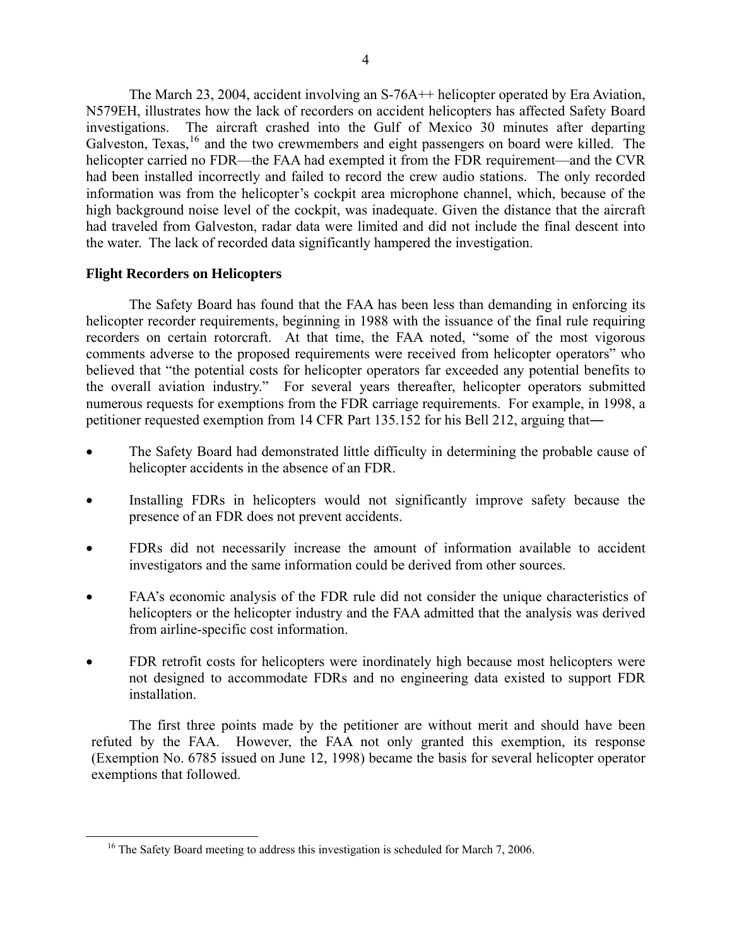The March 23, 2004, accident involving an S-76A++ helicopter operated by Era Aviation, N579EH, illustrates how the lack of recorders on accident helicopters has affected Safety Board investigations. The aircraft crashed into the Gulf of Mexico 30 minutes after departing Galveston, Texas,<sup>[16](#page-3-0)</sup> and the two crewmembers and eight passengers on board were killed. The helicopter carried no FDR—the FAA had exempted it from the FDR requirement—and the CVR had been installed incorrectly and failed to record the crew audio stations. The only recorded information was from the helicopter's cockpit area microphone channel, which, because of the high background noise level of the cockpit, was inadequate. Given the distance that the aircraft had traveled from Galveston, radar data were limited and did not include the final descent into the water. The lack of recorded data significantly hampered the investigation.

## **Flight Recorders on Helicopters**

The Safety Board has found that the FAA has been less than demanding in enforcing its helicopter recorder requirements, beginning in 1988 with the issuance of the final rule requiring recorders on certain rotorcraft. At that time, the FAA noted, "some of the most vigorous comments adverse to the proposed requirements were received from helicopter operators" who believed that "the potential costs for helicopter operators far exceeded any potential benefits to the overall aviation industry." For several years thereafter, helicopter operators submitted numerous requests for exemptions from the FDR carriage requirements. For example, in 1998, a petitioner requested exemption from 14 CFR Part 135.152 for his Bell 212, arguing that―

- The Safety Board had demonstrated little difficulty in determining the probable cause of helicopter accidents in the absence of an FDR.
- Installing FDRs in helicopters would not significantly improve safety because the presence of an FDR does not prevent accidents.
- FDRs did not necessarily increase the amount of information available to accident investigators and the same information could be derived from other sources.
- FAA's economic analysis of the FDR rule did not consider the unique characteristics of helicopters or the helicopter industry and the FAA admitted that the analysis was derived from airline-specific cost information.
- FDR retrofit costs for helicopters were inordinately high because most helicopters were not designed to accommodate FDRs and no engineering data existed to support FDR installation.

The first three points made by the petitioner are without merit and should have been refuted by the FAA. However, the FAA not only granted this exemption, its response (Exemption No. 6785 issued on June 12, 1998) became the basis for several helicopter operator exemptions that followed.

<span id="page-3-0"></span><sup>&</sup>lt;sup>16</sup> The Safety Board meeting to address this investigation is scheduled for March 7, 2006.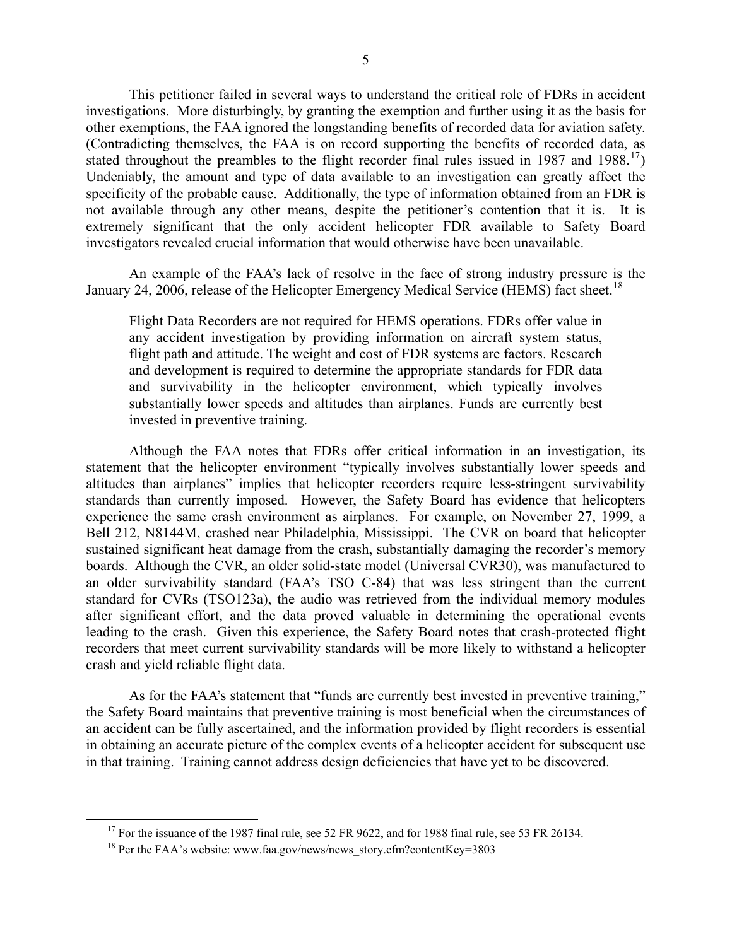This petitioner failed in several ways to understand the critical role of FDRs in accident investigations. More disturbingly, by granting the exemption and further using it as the basis for other exemptions, the FAA ignored the longstanding benefits of recorded data for aviation safety. (Contradicting themselves, the FAA is on record supporting the benefits of recorded data, as stated throughout the preambles to the flight recorder final rules issued in 1987 and 1988.<sup>[17](#page-4-0)</sup>) Undeniably, the amount and type of data available to an investigation can greatly affect the specificity of the probable cause. Additionally, the type of information obtained from an FDR is not available through any other means, despite the petitioner's contention that it is. It is extremely significant that the only accident helicopter FDR available to Safety Board investigators revealed crucial information that would otherwise have been unavailable.

An example of the FAA's lack of resolve in the face of strong industry pressure is the January 24, 2006, release of the Helicopter Emergency Medical Service (HEMS) fact sheet.<sup>[18](#page-4-1)</sup>

Flight Data Recorders are not required for HEMS operations. FDRs offer value in any accident investigation by providing information on aircraft system status, flight path and attitude. The weight and cost of FDR systems are factors. Research and development is required to determine the appropriate standards for FDR data and survivability in the helicopter environment, which typically involves substantially lower speeds and altitudes than airplanes. Funds are currently best invested in preventive training.

Although the FAA notes that FDRs offer critical information in an investigation, its statement that the helicopter environment "typically involves substantially lower speeds and altitudes than airplanes" implies that helicopter recorders require less-stringent survivability standards than currently imposed. However, the Safety Board has evidence that helicopters experience the same crash environment as airplanes. For example, on November 27, 1999, a Bell 212, N8144M, crashed near Philadelphia, Mississippi. The CVR on board that helicopter sustained significant heat damage from the crash, substantially damaging the recorder's memory boards. Although the CVR, an older solid-state model (Universal CVR30), was manufactured to an older survivability standard (FAA's TSO C-84) that was less stringent than the current standard for CVRs (TSO123a), the audio was retrieved from the individual memory modules after significant effort, and the data proved valuable in determining the operational events leading to the crash. Given this experience, the Safety Board notes that crash-protected flight recorders that meet current survivability standards will be more likely to withstand a helicopter crash and yield reliable flight data.

As for the FAA's statement that "funds are currently best invested in preventive training," the Safety Board maintains that preventive training is most beneficial when the circumstances of an accident can be fully ascertained, and the information provided by flight recorders is essential in obtaining an accurate picture of the complex events of a helicopter accident for subsequent use in that training. Training cannot address design deficiencies that have yet to be discovered.

<span id="page-4-1"></span><span id="page-4-0"></span><sup>&</sup>lt;sup>17</sup> For the issuance of the 1987 final rule, see 52 FR 9622, and for 1988 final rule, see 53 FR 26134.<br><sup>18</sup> Per the FAA's website: www.faa.gov/news/news\_story.cfm?contentKey=3803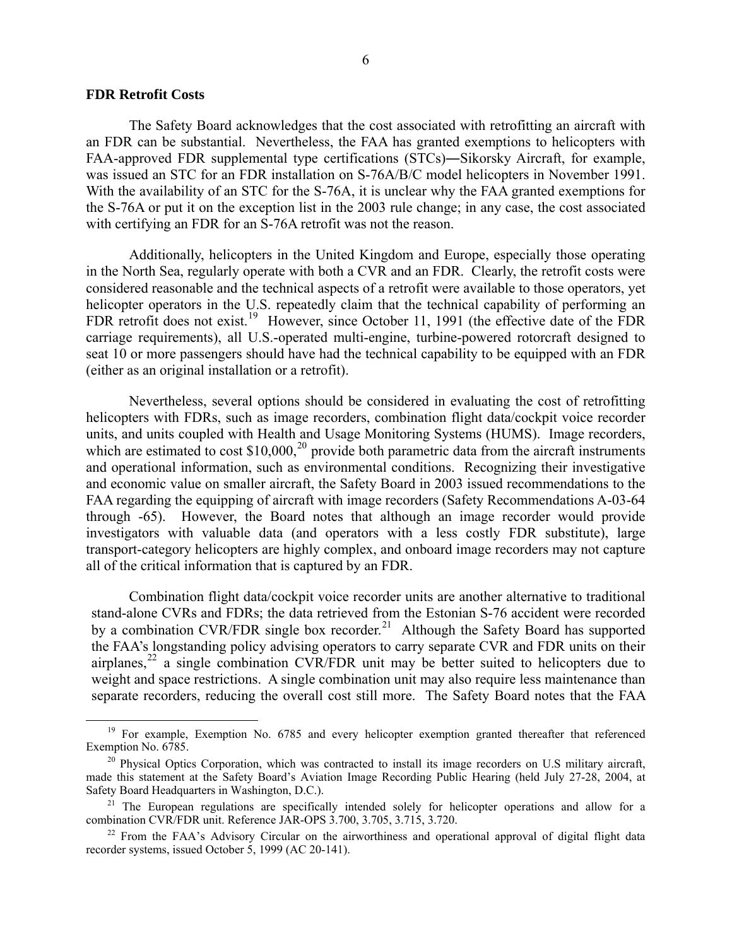#### **FDR Retrofit Costs**

The Safety Board acknowledges that the cost associated with retrofitting an aircraft with an FDR can be substantial. Nevertheless, the FAA has granted exemptions to helicopters with FAA-approved FDR supplemental type certifications (STCs)―Sikorsky Aircraft, for example, was issued an STC for an FDR installation on S-76A/B/C model helicopters in November 1991. With the availability of an STC for the S-76A, it is unclear why the FAA granted exemptions for the S-76A or put it on the exception list in the 2003 rule change; in any case, the cost associated with certifying an FDR for an S-76A retrofit was not the reason.

Additionally, helicopters in the United Kingdom and Europe, especially those operating in the North Sea, regularly operate with both a CVR and an FDR. Clearly, the retrofit costs were considered reasonable and the technical aspects of a retrofit were available to those operators, yet helicopter operators in the U.S. repeatedly claim that the technical capability of performing an FDR retrofit does not exist.<sup>[19](#page-5-0)</sup> However, since October 11, 1991 (the effective date of the FDR carriage requirements), all U.S.-operated multi-engine, turbine-powered rotorcraft designed to seat 10 or more passengers should have had the technical capability to be equipped with an FDR (either as an original installation or a retrofit).

Nevertheless, several options should be considered in evaluating the cost of retrofitting helicopters with FDRs, such as image recorders, combination flight data/cockpit voice recorder units, and units coupled with Health and Usage Monitoring Systems (HUMS). Image recorders, which are estimated to cost  $$10,000$ ,<sup>[20](#page-5-1)</sup> provide both parametric data from the aircraft instruments and operational information, such as environmental conditions. Recognizing their investigative and economic value on smaller aircraft, the Safety Board in 2003 issued recommendations to the FAA regarding the equipping of aircraft with image recorders (Safety Recommendations A-03-64 through -65). However, the Board notes that although an image recorder would provide investigators with valuable data (and operators with a less costly FDR substitute), large transport-category helicopters are highly complex, and onboard image recorders may not capture all of the critical information that is captured by an FDR.

Combination flight data/cockpit voice recorder units are another alternative to traditional stand-alone CVRs and FDRs; the data retrieved from the Estonian S-76 accident were recorded by a combination CVR/FDR single box recorder.<sup>[21](#page-5-2)</sup> Although the Safety Board has supported the FAA's longstanding policy advising operators to carry separate CVR and FDR units on their airplanes, $^{22}$  $^{22}$  $^{22}$  a single combination CVR/FDR unit may be better suited to helicopters due to weight and space restrictions. A single combination unit may also require less maintenance than separate recorders, reducing the overall cost still more. The Safety Board notes that the FAA

<span id="page-5-0"></span><sup>&</sup>lt;sup>19</sup> For example, Exemption No. 6785 and every helicopter exemption granted thereafter that referenced Exemption No. 6785.

<span id="page-5-1"></span> $20$  Physical Optics Corporation, which was contracted to install its image recorders on U.S military aircraft, made this statement at the Safety Board's Aviation Image Recording Public Hearing (held July 27-28, 2004, at Safety Board Headquarters in Washington, D.C.).

<span id="page-5-2"></span><sup>&</sup>lt;sup>21</sup> The European regulations are specifically intended solely for helicopter operations and allow for a combination CVR/FDR unit. Reference JAR-OPS 3.700, 3.705, 3.715, 3.720.

<span id="page-5-3"></span><sup>&</sup>lt;sup>22</sup> From the FAA's Advisory Circular on the airworthiness and operational approval of digital flight data recorder systems, issued October 5, 1999 (AC 20-141).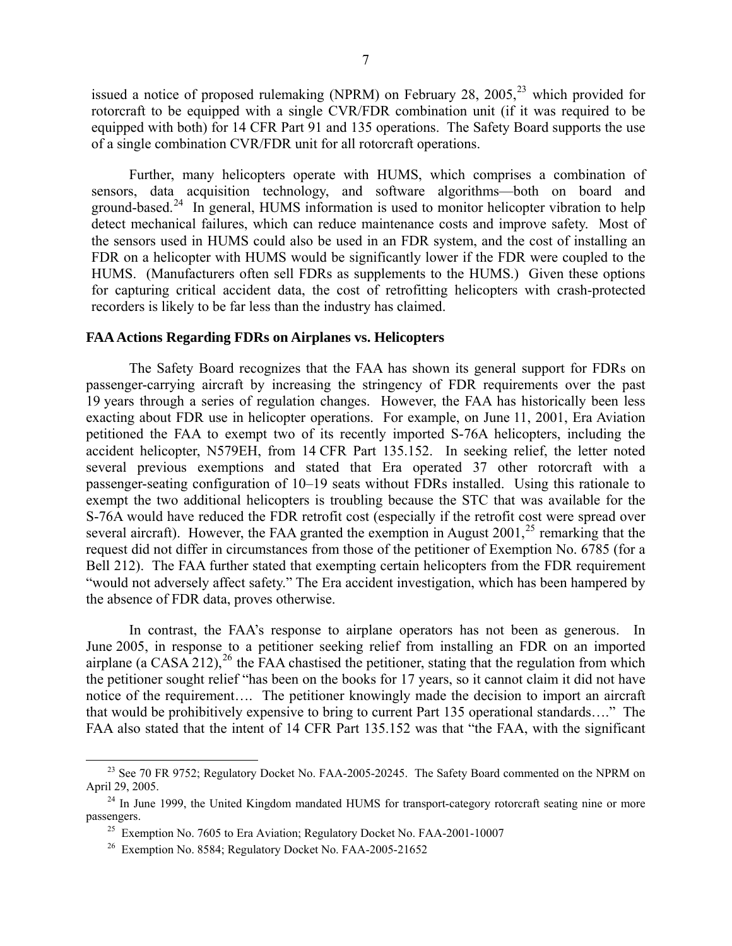issued a notice of proposed rulemaking (NPRM) on February 28, 2005,<sup>[23](#page-6-0)</sup> which provided for rotorcraft to be equipped with a single CVR/FDR combination unit (if it was required to be equipped with both) for 14 CFR Part 91 and 135 operations. The Safety Board supports the use of a single combination CVR/FDR unit for all rotorcraft operations.

Further, many helicopters operate with HUMS, which comprises a combination of sensors, data acquisition technology, and software algorithms—both on board and ground-based.<sup>[24](#page-6-1)</sup> In general, HUMS information is used to monitor helicopter vibration to help detect mechanical failures, which can reduce maintenance costs and improve safety. Most of the sensors used in HUMS could also be used in an FDR system, and the cost of installing an FDR on a helicopter with HUMS would be significantly lower if the FDR were coupled to the HUMS. (Manufacturers often sell FDRs as supplements to the HUMS.) Given these options for capturing critical accident data, the cost of retrofitting helicopters with crash-protected recorders is likely to be far less than the industry has claimed.

### **FAA Actions Regarding FDRs on Airplanes vs. Helicopters**

The Safety Board recognizes that the FAA has shown its general support for FDRs on passenger-carrying aircraft by increasing the stringency of FDR requirements over the past 19 years through a series of regulation changes. However, the FAA has historically been less exacting about FDR use in helicopter operations. For example, on June 11, 2001, Era Aviation petitioned the FAA to exempt two of its recently imported S-76A helicopters, including the accident helicopter, N579EH, from 14 CFR Part 135.152. In seeking relief, the letter noted several previous exemptions and stated that Era operated 37 other rotorcraft with a passenger-seating configuration of 10–19 seats without FDRs installed. Using this rationale to exempt the two additional helicopters is troubling because the STC that was available for the S-76A would have reduced the FDR retrofit cost (especially if the retrofit cost were spread over several aircraft). However, the FAA granted the exemption in August  $2001$ ,<sup>[25](#page-6-2)</sup> remarking that the request did not differ in circumstances from those of the petitioner of Exemption No. 6785 (for a Bell 212). The FAA further stated that exempting certain helicopters from the FDR requirement "would not adversely affect safety." The Era accident investigation, which has been hampered by the absence of FDR data, proves otherwise.

In contrast, the FAA's response to airplane operators has not been as generous. In June 2005, in response to a petitioner seeking relief from installing an FDR on an imported airplane (a CASA 212),<sup>[26](#page-6-3)</sup> the FAA chastised the petitioner, stating that the regulation from which the petitioner sought relief "has been on the books for 17 years, so it cannot claim it did not have notice of the requirement…. The petitioner knowingly made the decision to import an aircraft that would be prohibitively expensive to bring to current Part 135 operational standards…." The FAA also stated that the intent of 14 CFR Part 135.152 was that "the FAA, with the significant

<span id="page-6-0"></span><sup>&</sup>lt;sup>23</sup> See 70 FR 9752; Regulatory Docket No. FAA-2005-20245. The Safety Board commented on the NPRM on April 29, 2005.<br><sup>24</sup> In June 1999, the United Kingdom mandated HUMS for transport-category rotorcraft seating nine or more

<span id="page-6-3"></span><span id="page-6-2"></span><span id="page-6-1"></span>passengers.<br><sup>25</sup> Exemption No. 7605 to Era Aviation; Regulatory Docket No. FAA-2001-10007

<sup>26</sup> Exemption No. 8584; Regulatory Docket No. FAA-2005-21652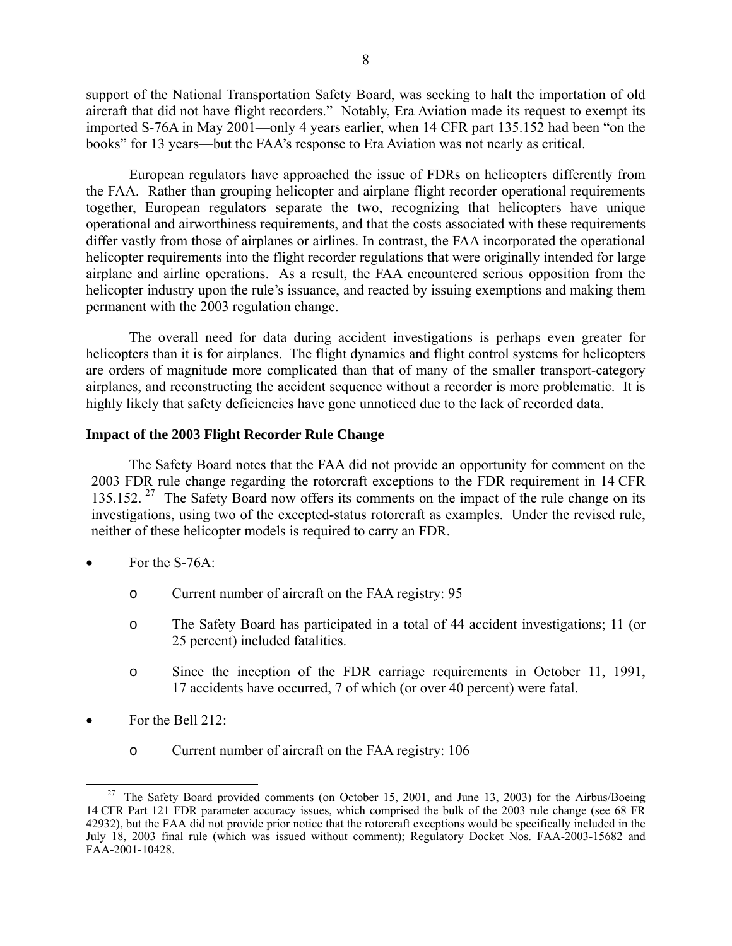support of the National Transportation Safety Board, was seeking to halt the importation of old aircraft that did not have flight recorders." Notably, Era Aviation made its request to exempt its imported S-76A in May 2001—only 4 years earlier, when 14 CFR part 135.152 had been "on the books" for 13 years—but the FAA's response to Era Aviation was not nearly as critical.

European regulators have approached the issue of FDRs on helicopters differently from the FAA. Rather than grouping helicopter and airplane flight recorder operational requirements together, European regulators separate the two, recognizing that helicopters have unique operational and airworthiness requirements, and that the costs associated with these requirements differ vastly from those of airplanes or airlines. In contrast, the FAA incorporated the operational helicopter requirements into the flight recorder regulations that were originally intended for large airplane and airline operations. As a result, the FAA encountered serious opposition from the helicopter industry upon the rule's issuance, and reacted by issuing exemptions and making them permanent with the 2003 regulation change.

The overall need for data during accident investigations is perhaps even greater for helicopters than it is for airplanes. The flight dynamics and flight control systems for helicopters are orders of magnitude more complicated than that of many of the smaller transport-category airplanes, and reconstructing the accident sequence without a recorder is more problematic. It is highly likely that safety deficiencies have gone unnoticed due to the lack of recorded data.

## **Impact of the 2003 Flight Recorder Rule Change**

The Safety Board notes that the FAA did not provide an opportunity for comment on the 2003 FDR rule change regarding the rotorcraft exceptions to the FDR requirement in 14 CFR 135.152. <sup>[27](#page-7-0)</sup> The Safety Board now offers its comments on the impact of the rule change on its investigations, using two of the excepted-status rotorcraft as examples. Under the revised rule, neither of these helicopter models is required to carry an FDR.

- For the S-76A:
	- o Current number of aircraft on the FAA registry: 95
	- o The Safety Board has participated in a total of 44 accident investigations; 11 (or 25 percent) included fatalities.
	- o Since the inception of the FDR carriage requirements in October 11, 1991, 17 accidents have occurred, 7 of which (or over 40 percent) were fatal.
- For the Bell  $212$ 
	- o Current number of aircraft on the FAA registry: 106

<span id="page-7-0"></span><sup>&</sup>lt;sup>27</sup> The Safety Board provided comments (on October 15, 2001, and June 13, 2003) for the Airbus/Boeing 14 CFR Part 121 FDR parameter accuracy issues, which comprised the bulk of the 2003 rule change (see 68 FR 42932), but the FAA did not provide prior notice that the rotorcraft exceptions would be specifically included in the July 18, 2003 final rule (which was issued without comment); Regulatory Docket Nos. FAA-2003-15682 and FAA-2001-10428.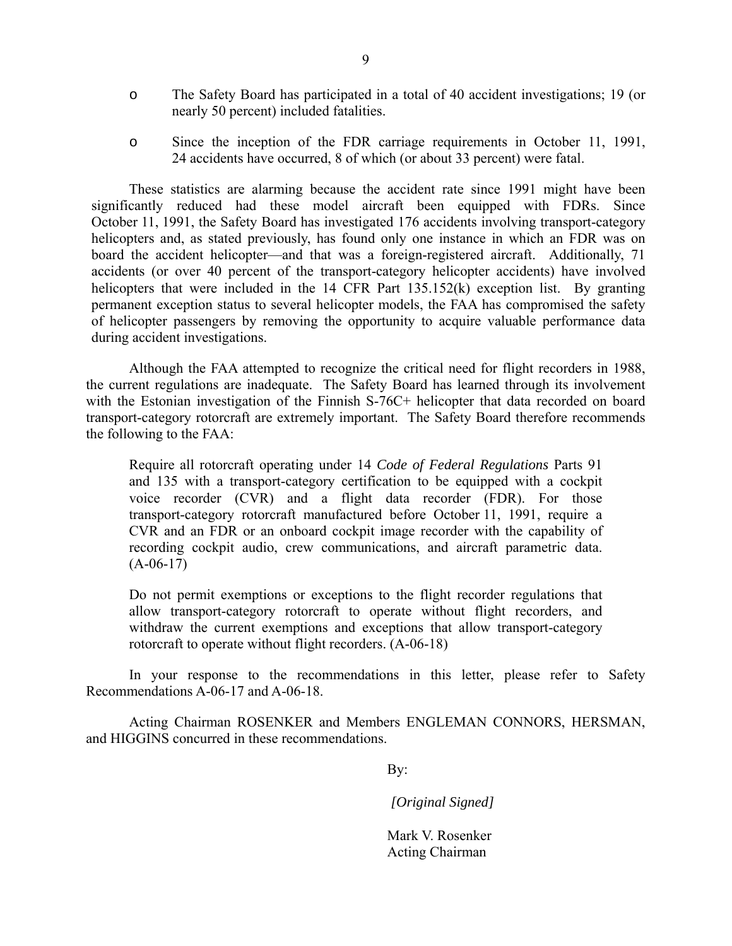- o The Safety Board has participated in a total of 40 accident investigations; 19 (or nearly 50 percent) included fatalities.
- o Since the inception of the FDR carriage requirements in October 11, 1991, 24 accidents have occurred, 8 of which (or about 33 percent) were fatal.

These statistics are alarming because the accident rate since 1991 might have been significantly reduced had these model aircraft been equipped with FDRs. Since October 11, 1991, the Safety Board has investigated 176 accidents involving transport-category helicopters and, as stated previously, has found only one instance in which an FDR was on board the accident helicopter—and that was a foreign-registered aircraft. Additionally, 71 accidents (or over 40 percent of the transport-category helicopter accidents) have involved helicopters that were included in the 14 CFR Part 135.152(k) exception list. By granting permanent exception status to several helicopter models, the FAA has compromised the safety of helicopter passengers by removing the opportunity to acquire valuable performance data during accident investigations.

Although the FAA attempted to recognize the critical need for flight recorders in 1988, the current regulations are inadequate. The Safety Board has learned through its involvement with the Estonian investigation of the Finnish S-76C+ helicopter that data recorded on board transport-category rotorcraft are extremely important. The Safety Board therefore recommends the following to the FAA:

Require all rotorcraft operating under 14 *Code of Federal Regulations* Parts 91 and 135 with a transport-category certification to be equipped with a cockpit voice recorder (CVR) and a flight data recorder (FDR). For those transport-category rotorcraft manufactured before October 11, 1991, require a CVR and an FDR or an onboard cockpit image recorder with the capability of recording cockpit audio, crew communications, and aircraft parametric data.  $(A-06-17)$ 

Do not permit exemptions or exceptions to the flight recorder regulations that allow transport-category rotorcraft to operate without flight recorders, and withdraw the current exemptions and exceptions that allow transport-category rotorcraft to operate without flight recorders. (A-06-18)

In your response to the recommendations in this letter, please refer to Safety Recommendations A-06-17 and A-06-18.

Acting Chairman ROSENKER and Members ENGLEMAN CONNORS, HERSMAN, and HIGGINS concurred in these recommendations.

By:

*[Original Signed]*

Mark V. Rosenker Acting Chairman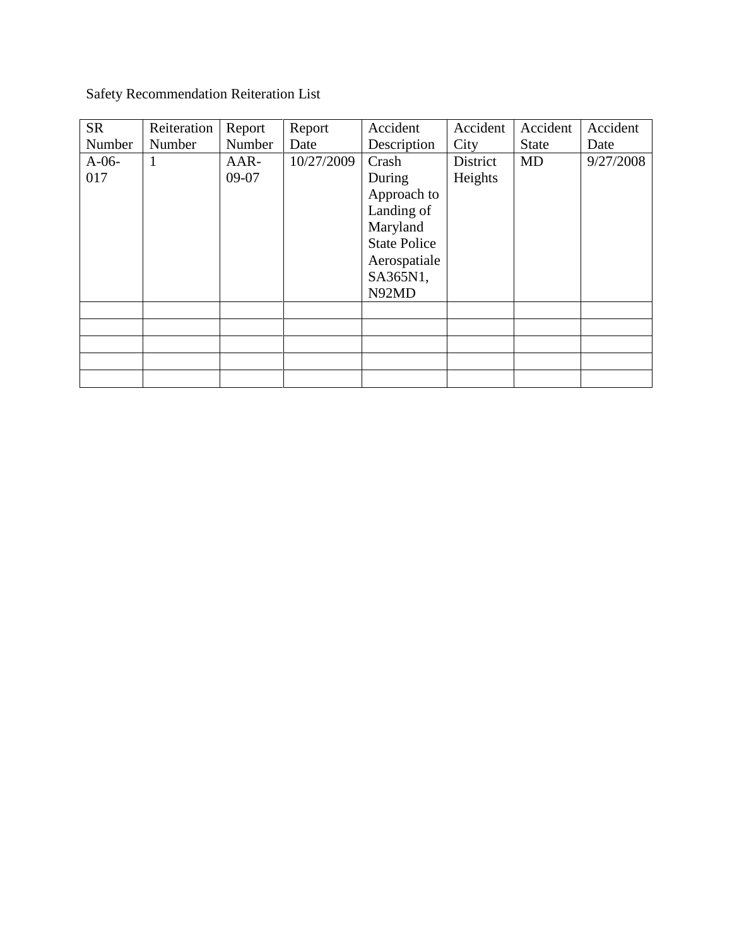Safety Recommendation Reiteration List

| <b>SR</b> | Reiteration | Report | Report     | Accident            | Accident | Accident     | Accident  |
|-----------|-------------|--------|------------|---------------------|----------|--------------|-----------|
| Number    | Number      | Number | Date       | Description         | City     | <b>State</b> | Date      |
| $A-06-$   |             | AAR-   | 10/27/2009 | Crash               | District | <b>MD</b>    | 9/27/2008 |
| 017       |             | 09-07  |            | During              | Heights  |              |           |
|           |             |        |            | Approach to         |          |              |           |
|           |             |        |            | Landing of          |          |              |           |
|           |             |        |            | Maryland            |          |              |           |
|           |             |        |            | <b>State Police</b> |          |              |           |
|           |             |        |            | Aerospatiale        |          |              |           |
|           |             |        |            | SA365N1,            |          |              |           |
|           |             |        |            | N92MD               |          |              |           |
|           |             |        |            |                     |          |              |           |
|           |             |        |            |                     |          |              |           |
|           |             |        |            |                     |          |              |           |
|           |             |        |            |                     |          |              |           |
|           |             |        |            |                     |          |              |           |